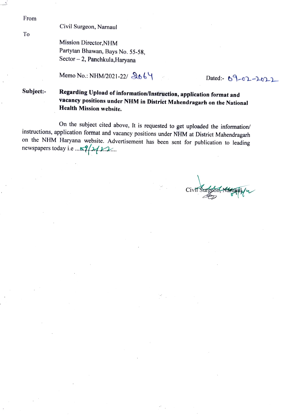From

To

## Civil Surgeon, Narnaul

Mission Director,NHM Partytan Bhawan, Bays No. 55-58, Sector-2, Panchkula,Haryana

Memo No.: NHM/2021-22/ 2064

# Subject:- Regarding Upload of information/Instruction, application format and vacancy positions under NHM in District Mahendragarh on the National Health Mission website.

On the subject cited above, It is requested to get uploaded the information/<br>instructions, application format and vacancy positions under NHM at District Mahendragarh on the NHM Haryana website. Advertisement has been sent for publication to leading newspapers today i.e... $\frac{1}{2}$ 

Civil Surgeon, Namaul /w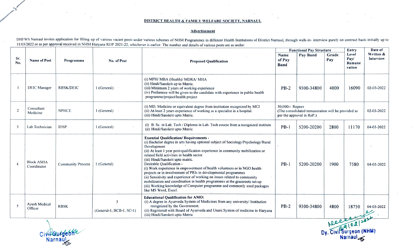## DISTRICT HEALTH& FAMILY WELFARE SOCIETY, NARNAUL

### Advertisement

DHFWS Namaul invites application for filling up of various vacant posts under various schemes of NHM Programmes in different Health Institutions of District Namaul, through walk-in- interview purely on contract basis initi 31/03/2022 or as per approval received in NHM Haryana ROP 2021-22, whichever is earlier. The number and details of various posts are as under:

|                |                                  |                          |                                                     |                                                                                                                                                                                                                                                                                                                                                                                                                                                                                                                                                                                                                                                                                                                                                                    | <b>Functional Pay Structure</b>                                                                    |            |              | Entry                             | Date of                |  |
|----------------|----------------------------------|--------------------------|-----------------------------------------------------|--------------------------------------------------------------------------------------------------------------------------------------------------------------------------------------------------------------------------------------------------------------------------------------------------------------------------------------------------------------------------------------------------------------------------------------------------------------------------------------------------------------------------------------------------------------------------------------------------------------------------------------------------------------------------------------------------------------------------------------------------------------------|----------------------------------------------------------------------------------------------------|------------|--------------|-----------------------------------|------------------------|--|
| Sr.<br>No.     | <b>Name of Post</b>              | Programme                | No. of Post                                         | <b>Proposed Oualification</b>                                                                                                                                                                                                                                                                                                                                                                                                                                                                                                                                                                                                                                                                                                                                      | Name<br>of Pay<br><b>Band</b>                                                                      | Pay Band   | Grade<br>Pay | Level<br>Pay/<br>Remune<br>ration | Written &<br>Interview |  |
|                | <b>DEIC Manager</b>              | <b>RBSK/DEIC</b>         | 1 (General)                                         | (i) MPH/ MBA (Health)/ MDRA/ MHA<br>(ii) Hindi/Sanskrit up to Matric.<br>(iii) Minimum 2 years of working experience<br>(iv) Preference will be given to the candidate with experience in public health<br>programme/project/health project                                                                                                                                                                                                                                                                                                                                                                                                                                                                                                                        | $PB-2$                                                                                             | 9300-34800 | 4000         | 16090                             | 02-03-2022             |  |
| $\overline{2}$ | Consultant<br>Medicine           | <b>NPHCE</b>             | 1 (General)                                         | (i) MD, Medicine or equivalent degree from institution recognized by MCI<br>(ii) At-least 2 years experience of working as a specialist in a hospital.<br>(iii) Hindi/Sanskrit upto Matric.                                                                                                                                                                                                                                                                                                                                                                                                                                                                                                                                                                        | 50,000/- Rupees<br>(The consolidated remuneration will be provided as<br>per the approval in RoP.) |            |              |                                   | 02-03-2022             |  |
| -3             | Lab Technician                   | <b>IDSP</b>              | 1 (General)                                         | (i) B. Sc. in Lab. Tech / Diploma in Lab. Tech course from a recognized institute<br>(ii) Hindi/Sanskrit upto Matric                                                                                                                                                                                                                                                                                                                                                                                                                                                                                                                                                                                                                                               | $PB-1$                                                                                             | 5200-20200 | 2800         | 11170                             | 04-03-2022             |  |
|                | <b>Block ASHA</b><br>Coordinator | <b>Community Process</b> | 1 (General)                                         | <b>Essential Qualification/Requirements -</b><br>(i) Bachelor degree in arts having optional subject of Sociology/Psychology/Rural<br>Development<br>(ii) At least 1 year post-qualification experience in community mobilization or<br>related field activities in health sector.<br>(iii) Hindi/Sanskrit upto matric.<br>Desirable Qualification -<br>(i) Work experience in empowerment of health volunteers or in NGO health<br>projects or in involvement of PRIs in developmental programmes<br>(ii) Sensitivity and experience of working on issues related to community<br>mobilization and coordination in health programmes at the grassroots set-up<br>(iii) Working knowledge of Computer programme and commonly used packages<br>like MS Word, Excel. | $PB-1$                                                                                             | 5200-20200 | 1900         | 7580                              | 04-03-2022             |  |
| -5             | Ayush Medical<br>Officer         | <b>RBSK</b>              | $\overline{\mathbf{3}}$<br>(General-1, BCB-1, SC-1) | <b>Educational Oualification for AMO:</b><br>(i) A degree in Ayurveda System of Medicines from any university/ Institution<br>recognized by the Government.<br>(ii) Registered with Board of Ayurveda and Unani System of medicine in Harvana<br>(iii) Hindi/Sanskrit upto Matric                                                                                                                                                                                                                                                                                                                                                                                                                                                                                  | $PB-2$                                                                                             | 9300-34800 | 4800         | 18750                             | 04-03-2022             |  |
|                | Ree                              |                          |                                                     |                                                                                                                                                                                                                                                                                                                                                                                                                                                                                                                                                                                                                                                                                                                                                                    |                                                                                                    |            |              |                                   |                        |  |

CiviNSurgeona Narnau<sub>s</sub>

Narnaul<sub>e</sub> Dy.CiviSurgeon (NHM)